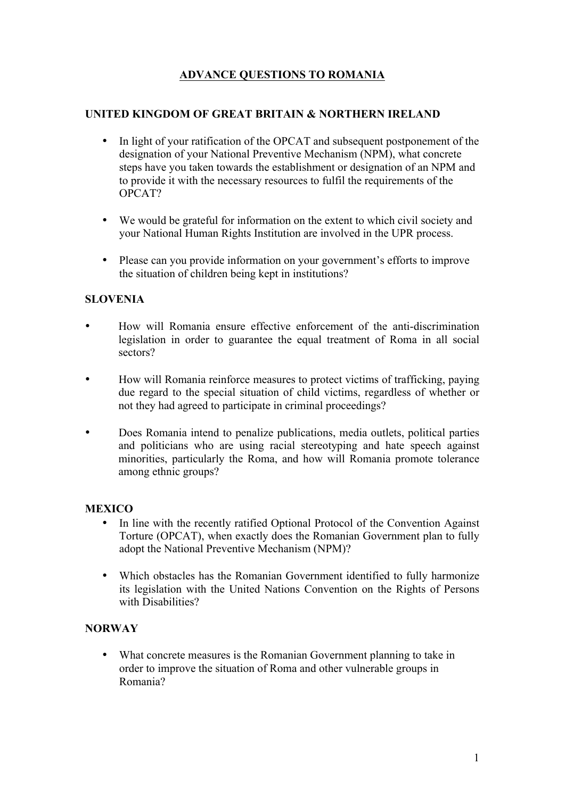# **ADVANCE QUESTIONS TO ROMANIA**

# **UNITED KINGDOM OF GREAT BRITAIN & NORTHERN IRELAND**

- In light of your ratification of the OPCAT and subsequent postponement of the designation of your National Preventive Mechanism (NPM), what concrete steps have you taken towards the establishment or designation of an NPM and to provide it with the necessary resources to fulfil the requirements of the OPCAT?
- We would be grateful for information on the extent to which civil society and your National Human Rights Institution are involved in the UPR process.
- Please can you provide information on your government's efforts to improve the situation of children being kept in institutions?

# **SLOVENIA**

- How will Romania ensure effective enforcement of the anti-discrimination legislation in order to guarantee the equal treatment of Roma in all social sectors?
- How will Romania reinforce measures to protect victims of trafficking, paying due regard to the special situation of child victims, regardless of whether or not they had agreed to participate in criminal proceedings?
- Does Romania intend to penalize publications, media outlets, political parties and politicians who are using racial stereotyping and hate speech against minorities, particularly the Roma, and how will Romania promote tolerance among ethnic groups?

## **MEXICO**

- In line with the recently ratified Optional Protocol of the Convention Against Torture (OPCAT), when exactly does the Romanian Government plan to fully adopt the National Preventive Mechanism (NPM)?
- Which obstacles has the Romanian Government identified to fully harmonize its legislation with the United Nations Convention on the Rights of Persons with Disabilities?

## **NORWAY**

• What concrete measures is the Romanian Government planning to take in order to improve the situation of Roma and other vulnerable groups in Romania?